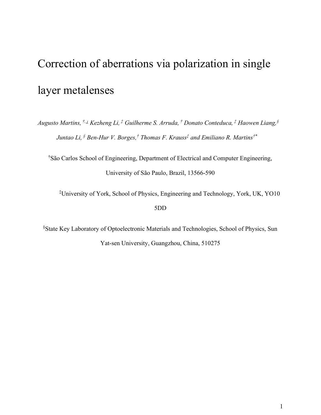# Correction of aberrations via polarization in single layer metalenses

Augusto Martins, <sup>†,⊥</sup> Kezheng Li, <sup>†</sup> Guilherme S. Arruda, <sup>†</sup> Donato Conteduca, <sup>‡</sup> Haowen Liang, § Juntao Li,  ${}^{\S}$  Ben-Hur V. Borges, ${}^{\dagger}$  Thomas F. Krauss ${}^{\ddagger}$  and Emiliano R. Martins ${}^{\dagger *}$ 

†São Carlos School of Engineering, Department of Electrical and Computer Engineering, University of São Paulo, Brazil, 13566-590

‡University of York, School of Physics, Engineering and Technology, York, UK, YO10 5DD

§State Key Laboratory of Optoelectronic Materials and Technologies, School of Physics, Sun Yat-sen University, Guangzhou, China, 510275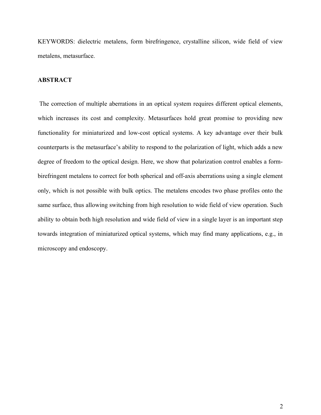KEYWORDS: dielectric metalens, form birefringence, crystalline silicon, wide field of view metalens, metasurface.

# ABSTRACT

 The correction of multiple aberrations in an optical system requires different optical elements, which increases its cost and complexity. Metasurfaces hold great promise to providing new functionality for miniaturized and low-cost optical systems. A key advantage over their bulk counterparts is the metasurface's ability to respond to the polarization of light, which adds a new degree of freedom to the optical design. Here, we show that polarization control enables a formbirefringent metalens to correct for both spherical and off-axis aberrations using a single element only, which is not possible with bulk optics. The metalens encodes two phase profiles onto the same surface, thus allowing switching from high resolution to wide field of view operation. Such ability to obtain both high resolution and wide field of view in a single layer is an important step towards integration of miniaturized optical systems, which may find many applications, e.g., in microscopy and endoscopy.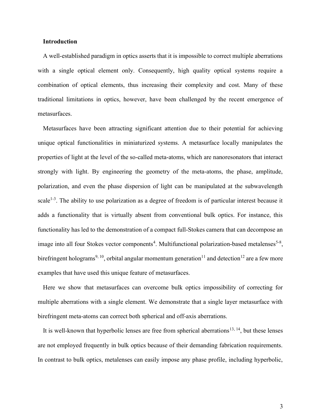## Introduction

A well-established paradigm in optics asserts that it is impossible to correct multiple aberrations with a single optical element only. Consequently, high quality optical systems require a combination of optical elements, thus increasing their complexity and cost. Many of these traditional limitations in optics, however, have been challenged by the recent emergence of metasurfaces.

Metasurfaces have been attracting significant attention due to their potential for achieving unique optical functionalities in miniaturized systems. A metasurface locally manipulates the properties of light at the level of the so-called meta-atoms, which are nanoresonators that interact strongly with light. By engineering the geometry of the meta-atoms, the phase, amplitude, polarization, and even the phase dispersion of light can be manipulated at the subwavelength scale<sup>1-3</sup>. The ability to use polarization as a degree of freedom is of particular interest because it adds a functionality that is virtually absent from conventional bulk optics. For instance, this functionality has led to the demonstration of a compact full-Stokes camera that can decompose an image into all four Stokes vector components<sup>4</sup>. Multifunctional polarization-based metalenses<sup>5-8</sup>, birefringent holograms<sup>9, 10</sup>, orbital angular momentum generation<sup>11</sup> and detection<sup>12</sup> are a few more examples that have used this unique feature of metasurfaces.

Here we show that metasurfaces can overcome bulk optics impossibility of correcting for multiple aberrations with a single element. We demonstrate that a single layer metasurface with birefringent meta-atoms can correct both spherical and off-axis aberrations.

It is well-known that hyperbolic lenses are free from spherical aberrations<sup>13, 14</sup>, but these lenses are not employed frequently in bulk optics because of their demanding fabrication requirements. In contrast to bulk optics, metalenses can easily impose any phase profile, including hyperbolic,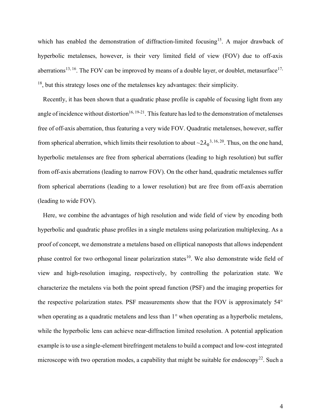which has enabled the demonstration of diffraction-limited focusing<sup>15</sup>. A major drawback of hyperbolic metalenses, however, is their very limited field of view (FOV) due to off-axis aberrations<sup>13, 16</sup>. The FOV can be improved by means of a double layer, or doublet, metasurface<sup>17,</sup> <sup>18</sup>, but this strategy loses one of the metalenses key advantages: their simplicity.

Recently, it has been shown that a quadratic phase profile is capable of focusing light from any angle of incidence without distortion<sup>16, 19-21</sup>. This feature has led to the demonstration of metalenses free of off-axis aberration, thus featuring a very wide FOV. Quadratic metalenses, however, suffer from spherical aberration, which limits their resolution to about  $\sim 2\lambda_0^{-3.16,20}$ . Thus, on the one hand, hyperbolic metalenses are free from spherical aberrations (leading to high resolution) but suffer from off-axis aberrations (leading to narrow FOV). On the other hand, quadratic metalenses suffer from spherical aberrations (leading to a lower resolution) but are free from off-axis aberration (leading to wide FOV).

Here, we combine the advantages of high resolution and wide field of view by encoding both hyperbolic and quadratic phase profiles in a single metalens using polarization multiplexing. As a proof of concept, we demonstrate a metalens based on elliptical nanoposts that allows independent phase control for two orthogonal linear polarization states<sup>10</sup>. We also demonstrate wide field of view and high-resolution imaging, respectively, by controlling the polarization state. We characterize the metalens via both the point spread function (PSF) and the imaging properties for the respective polarization states. PSF measurements show that the FOV is approximately 54° when operating as a quadratic metalens and less than 1° when operating as a hyperbolic metalens, while the hyperbolic lens can achieve near-diffraction limited resolution. A potential application example is to use a single-element birefringent metalens to build a compact and low-cost integrated microscope with two operation modes, a capability that might be suitable for endoscopy<sup>22</sup>. Such a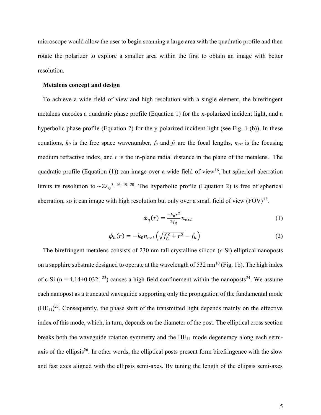microscope would allow the user to begin scanning a large area with the quadratic profile and then rotate the polarizer to explore a smaller area within the first to obtain an image with better resolution.

#### Metalens concept and design

To achieve a wide field of view and high resolution with a single element, the birefringent metalens encodes a quadratic phase profile (Equation 1) for the x-polarized incident light, and a hyperbolic phase profile (Equation 2) for the y-polarized incident light (see Fig. 1 (b)). In these equations,  $k_0$  is the free space wavenumber,  $f_q$  and  $f_h$  are the focal lengths,  $n_{ext}$  is the focusing medium refractive index, and  $r$  is the in-plane radial distance in the plane of the metalens. The quadratic profile (Equation (1)) can image over a wide field of view<sup>16</sup>, but spherical aberration limits its resolution to  $\sim 2\lambda_0^{-3}$ , 16, 19, 20. The hyperbolic profile (Equation 2) is free of spherical aberration, so it can image with high resolution but only over a small field of view  $(FOV)^{13}$ .

$$
\phi_q(r) = \frac{-k_0 r^2}{2f_q} n_{ext} \tag{1}
$$

$$
\phi_h(r) = -k_0 n_{ext} \left( \sqrt{f_h^2 + r^2} - f_h \right) \tag{2}
$$

The birefringent metalens consists of 230 nm tall crystalline silicon (c-Si) elliptical nanoposts on a sapphire substrate designed to operate at the wavelength of 532 nm<sup>10</sup> (Fig. 1b). The high index of c-Si (n = 4.14+0.032i<sup>23</sup>) causes a high field confinement within the nanoposts<sup>24</sup>. We assume each nanopost as a truncated waveguide supporting only the propagation of the fundamental mode  $(HE_{11})^{25}$ . Consequently, the phase shift of the transmitted light depends mainly on the effective index of this mode, which, in turn, depends on the diameter of the post. The elliptical cross section breaks both the waveguide rotation symmetry and the  $HE_{11}$  mode degeneracy along each semiaxis of the ellipsis<sup>26</sup>. In other words, the elliptical posts present form birefringence with the slow and fast axes aligned with the ellipsis semi-axes. By tuning the length of the ellipsis semi-axes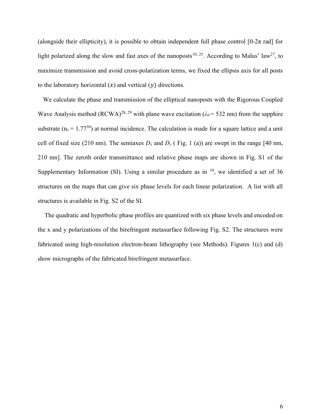(alongside their ellipticity), it is possible to obtain independent full phase control [0-2 $\pi$  rad] for light polarized along the slow and fast axes of the nanoposts<sup>10, 25</sup>. According to Malus' law<sup>27</sup>, to maximize transmission and avoid cross-polarization terms, we fixed the ellipsis axis for all posts to the laboratory horizontal  $(x)$  and vertical  $(y)$  directions.

We calculate the phase and transmission of the elliptical nanoposts with the Rigorous Coupled Wave Analysis method (RCWA)<sup>28, 29</sup> with plane wave excitation ( $\lambda_0$  = 532 nm) from the sapphire substrate ( $n_s = 1.77^{30}$ ) at normal incidence. The calculation is made for a square lattice and a unit cell of fixed size (210 nm). The semiaxes  $D_x$  and  $D_y$  (Fig. 1 (a)) are swept in the range [40 nm, 210 nm]. The zeroth order transmittance and relative phase maps are shown in Fig. S1 of the Supplementary Information (SI). Using a similar procedure as in  $10$ , we identified a set of 36 structures on the maps that can give six phase levels for each linear polarization. A list with all structures is available in Fig. S2 of the SI.

 The quadratic and hyperbolic phase profiles are quantized with six phase levels and encoded on the x and y polarizations of the birefringent metasurface following Fig. S2. The structures were fabricated using high-resolution electron-beam lithography (see Methods). Figures 1(c) and (d) show micrographs of the fabricated birefringent metasurface.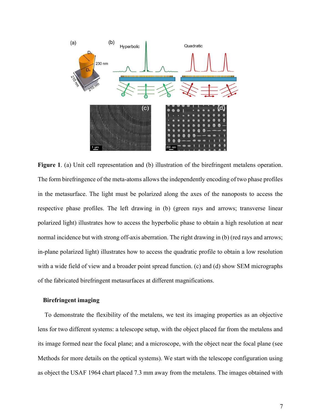

Figure 1. (a) Unit cell representation and (b) illustration of the birefringent metalens operation. The form birefringence of the meta-atoms allows the independently encoding of two phase profiles in the metasurface. The light must be polarized along the axes of the nanoposts to access the respective phase profiles. The left drawing in (b) (green rays and arrows; transverse linear polarized light) illustrates how to access the hyperbolic phase to obtain a high resolution at near normal incidence but with strong off-axis aberration. The right drawing in (b) (red rays and arrows; in-plane polarized light) illustrates how to access the quadratic profile to obtain a low resolution with a wide field of view and a broader point spread function. (c) and (d) show SEM micrographs of the fabricated birefringent metasurfaces at different magnifications.

## Birefringent imaging

 To demonstrate the flexibility of the metalens, we test its imaging properties as an objective lens for two different systems: a telescope setup, with the object placed far from the metalens and its image formed near the focal plane; and a microscope, with the object near the focal plane (see Methods for more details on the optical systems). We start with the telescope configuration using as object the USAF 1964 chart placed 7.3 mm away from the metalens. The images obtained with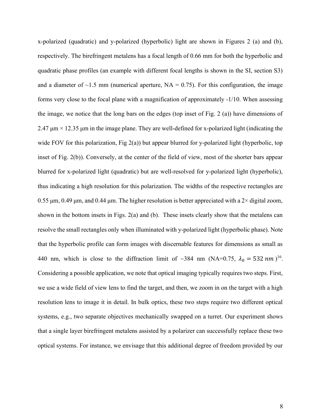x-polarized (quadratic) and y-polarized (hyperbolic) light are shown in Figures 2 (a) and (b), respectively. The birefringent metalens has a focal length of 0.66 mm for both the hyperbolic and quadratic phase profiles (an example with different focal lengths is shown in the SI, section S3) and a diameter of  $\sim$ 1.5 mm (numerical aperture, NA = 0.75). For this configuration, the image forms very close to the focal plane with a magnification of approximately -1/10. When assessing the image, we notice that the long bars on the edges (top inset of Fig. 2 (a)) have dimensions of 2.47  $\mu$ m × 12.35  $\mu$ m in the image plane. They are well-defined for x-polarized light (indicating the wide FOV for this polarization, Fig  $2(a)$ ) but appear blurred for y-polarized light (hyperbolic, top inset of Fig. 2(b)). Conversely, at the center of the field of view, most of the shorter bars appear blurred for x-polarized light (quadratic) but are well-resolved for y-polarized light (hyperbolic), thus indicating a high resolution for this polarization. The widths of the respective rectangles are 0.55 μm, 0.49 μm, and 0.44 μm. The higher resolution is better appreciated with a  $2\times$  digital zoom, shown in the bottom insets in Figs. 2(a) and (b). These insets clearly show that the metalens can resolve the small rectangles only when illuminated with y-polarized light (hyperbolic phase). Note that the hyperbolic profile can form images with discernable features for dimensions as small as 440 nm, which is close to the diffraction limit of ~384 nm (NA=0.75,  $\lambda_0 = 532$  nm)<sup>16</sup>. Considering a possible application, we note that optical imaging typically requires two steps. First, we use a wide field of view lens to find the target, and then, we zoom in on the target with a high resolution lens to image it in detail. In bulk optics, these two steps require two different optical systems, e.g., two separate objectives mechanically swapped on a turret. Our experiment shows that a single layer birefringent metalens assisted by a polarizer can successfully replace these two optical systems. For instance, we envisage that this additional degree of freedom provided by our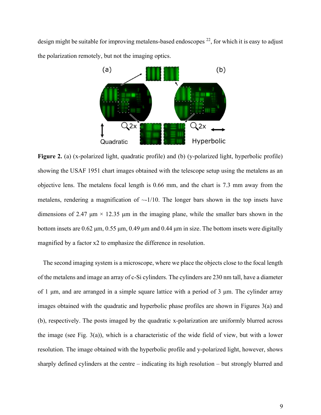design might be suitable for improving metalens-based endoscopes  $^{22}$ , for which it is easy to adjust the polarization remotely, but not the imaging optics.



Figure 2. (a) (x-polarized light, quadratic profile) and (b) (y-polarized light, hyperbolic profile) showing the USAF 1951 chart images obtained with the telescope setup using the metalens as an objective lens. The metalens focal length is 0.66 mm, and the chart is 7.3 mm away from the metalens, rendering a magnification of  $\sim$ -1/10. The longer bars shown in the top insets have dimensions of 2.47  $\mu$ m × 12.35  $\mu$ m in the imaging plane, while the smaller bars shown in the bottom insets are 0.62 μm, 0.55 μm, 0.49 μm and 0.44 μm in size. The bottom insets were digitally magnified by a factor x2 to emphasize the difference in resolution.

The second imaging system is a microscope, where we place the objects close to the focal length of the metalens and image an array of c-Si cylinders. The cylinders are 230 nm tall, have a diameter of 1 μm, and are arranged in a simple square lattice with a period of 3 μm. The cylinder array images obtained with the quadratic and hyperbolic phase profiles are shown in Figures 3(a) and (b), respectively. The posts imaged by the quadratic x-polarization are uniformly blurred across the image (see Fig.  $3(a)$ ), which is a characteristic of the wide field of view, but with a lower resolution. The image obtained with the hyperbolic profile and y-polarized light, however, shows sharply defined cylinders at the centre – indicating its high resolution – but strongly blurred and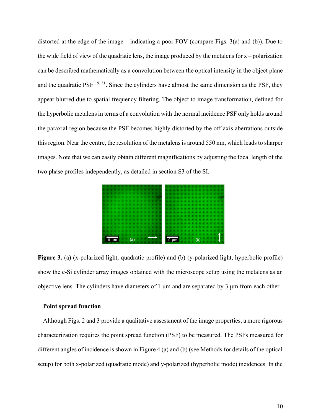distorted at the edge of the image – indicating a poor FOV (compare Figs. 3(a) and (b)). Due to the wide field of view of the quadratic lens, the image produced by the metalens for  $x$  – polarization can be described mathematically as a convolution between the optical intensity in the object plane and the quadratic PSF  $^{19, 31}$ . Since the cylinders have almost the same dimension as the PSF, they appear blurred due to spatial frequency filtering. The object to image transformation, defined for the hyperbolic metalens in terms of a convolution with the normal incidence PSF only holds around the paraxial region because the PSF becomes highly distorted by the off-axis aberrations outside this region. Near the centre, the resolution of the metalens is around 550 nm, which leads to sharper images. Note that we can easily obtain different magnifications by adjusting the focal length of the two phase profiles independently, as detailed in section S3 of the SI.



Figure 3. (a) (x-polarized light, quadratic profile) and (b) (y-polarized light, hyperbolic profile) show the c-Si cylinder array images obtained with the microscope setup using the metalens as an objective lens. The cylinders have diameters of 1 μm and are separated by 3 μm from each other.

## Point spread function

Although Figs. 2 and 3 provide a qualitative assessment of the image properties, a more rigorous characterization requires the point spread function (PSF) to be measured. The PSFs measured for different angles of incidence is shown in Figure 4 (a) and (b) (see Methods for details of the optical setup) for both x-polarized (quadratic mode) and y-polarized (hyperbolic mode) incidences. In the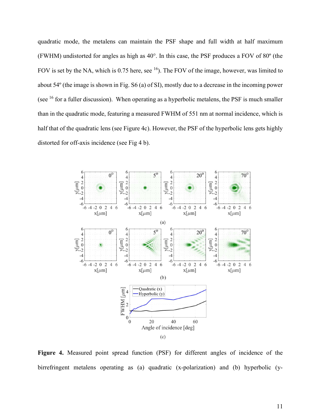quadratic mode, the metalens can maintain the PSF shape and full width at half maximum (FWHM) undistorted for angles as high as 40°. In this case, the PSF produces a FOV of 80º (the FOV is set by the NA, which is 0.75 here, see  $^{16}$ ). The FOV of the image, however, was limited to about 54º (the image is shown in Fig. S6 (a) of SI), mostly due to a decrease in the incoming power (see  $16$  for a fuller discussion). When operating as a hyperbolic metalens, the PSF is much smaller than in the quadratic mode, featuring a measured FWHM of 551 nm at normal incidence, which is half that of the quadratic lens (see Figure 4c). However, the PSF of the hyperbolic lens gets highly distorted for off-axis incidence (see Fig 4 b).



Figure 4. Measured point spread function (PSF) for different angles of incidence of the birrefringent metalens operating as (a) quadratic (x-polarization) and (b) hyperbolic (y-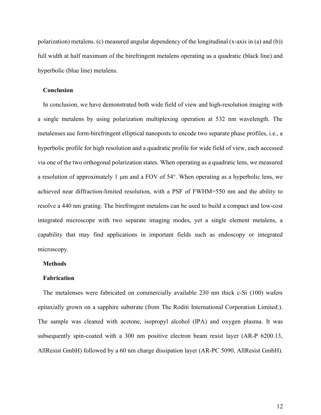polarization) metalens. (c) measured angular dependency of the longitudinal (x-axis in (a) and (b)) full width at half maximum of the birefringent metalens operating as a quadratic (black line) and hyperbolic (blue line) metalens.

## Conclusion

In conclusion, we have demonstrated both wide field of view and high-resolution imaging with a single metalens by using polarization multiplexing operation at 532 nm wavelength. The metalenses use form-birefringent elliptical nanoposts to encode two separate phase profiles, i.e., a hyperbolic profile for high resolution and a quadratic profile for wide field of view, each accessed via one of the two orthogonal polarization states. When operating as a quadratic lens, we measured a resolution of approximately 1 μm and a FOV of 54°. When operating as a hyperbolic lens, we achieved near diffraction-limited resolution, with a PSF of FWHM=550 nm and the ability to resolve a 440 nm grating. The birefringent metalens can be used to build a compact and low-cost integrated microscope with two separate imaging modes, yet a single element metalens, a capability that may find applications in important fields such as endoscopy or integrated microscopy.

## **Methods**

## Fabrication

The metalenses were fabricated on commercially available 230 nm thick c-Si (100) wafers epitaxially grown on a sapphire substrate (from The Roditi International Corporation Limited.). The sample was cleaned with acetone, isopropyl alcohol (IPA) and oxygen plasma. It was subsequently spin-coated with a 300 nm positive electron beam resist layer (AR-P 6200.13, AllResist GmbH) followed by a 60 nm charge dissipation layer (AR-PC 5090, AllResist GmbH).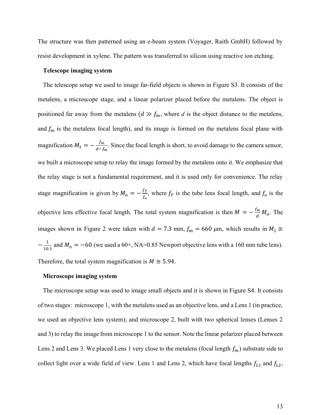The structure was then patterned using an e-beam system (Voyager, Raith GmbH) followed by resist development in xylene. The pattern was transferred to silicon using reactive ion etching.

#### Telescope imaging system

The telescope setup we used to image far-field objects is shown in Figure S3. It consists of the metalens, a microscope stage, and a linear polarizer placed before the metalens. The object is positioned far away from the metalens  $(d \gg f_m)$ , where d is the object distance to the metalens, and  $f_m$  is the metalens focal length), and its image is formed on the metalens focal plane with magnification  $M_1 = -\frac{f_m}{d-f}$  $\frac{fm}{d-f_m}$ . Since the focal length is short, to avoid damage to the camera sensor, we built a microscope setup to relay the image formed by the metalens onto it. We emphasize that the relay stage is not a fundamental requirement, and it is used only for convenience. The relay stage magnification is given by  $M_o = -\frac{f_T}{f}$  $\frac{f_T}{f_0}$ , where  $f_T$  is the tube lens focal length, and  $f_0$  is the objective lens effective focal length. The total system magnification is then  $M = -\frac{fm}{d}$  $\frac{m}{d}M_o$ . The images shown in Figure 2 were taken with  $d = 7.3$  mm,  $f_m = 660$  µm, which results in  $M_1 \cong$  $-\frac{1}{10}$  $\frac{1}{10.1}$  and  $M_o = -60$  (we used a 60×, NA=0.85 Newport objective lens with a 160 mm tube lens). Therefore, the total system magnification is  $M \approx 5.94$ .

#### Microscope imaging system

The microscope setup was used to image small objects and it is shown in Figure S4. It consists of two stages: microscope 1, with the metalens used as an objective lens, and a Lens 1 (in practice, we used an objective lens system); and microscope 2, built with two spherical lenses (Lenses 2 and 3) to relay the image from microscope 1 to the sensor. Note the linear polarizer placed between Lens 2 and Lens 3. We placed Lens 1 very close to the metalens (focal length  $f_m$ ) substrate side to collect light over a wide field of view. Lens 1 and Lens 2, which have focal lengths  $f_{L1}$  and  $f_{L2}$ ,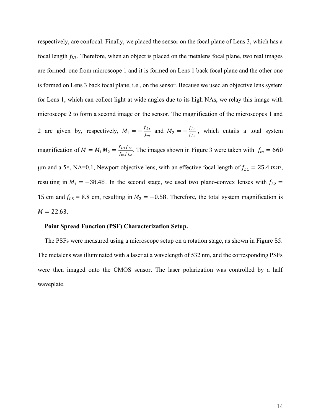respectively, are confocal. Finally, we placed the sensor on the focal plane of Lens 3, which has a focal length  $f_{L3}$ . Therefore, when an object is placed on the metalens focal plane, two real images are formed: one from microscope 1 and it is formed on Lens 1 back focal plane and the other one is formed on Lens 3 back focal plane, i.e., on the sensor. Because we used an objective lens system for Lens 1, which can collect light at wide angles due to its high NAs, we relay this image with microscope 2 to form a second image on the sensor. The magnification of the microscopes 1 and 2 are given by, respectively,  $M_1 = -\frac{f_{L_1}}{f}$  $\frac{f_{L_1}}{f_m}$  and  $M_2 = -\frac{f_{L3}}{f_{L2}}$  $\frac{J_{L3}}{f_{L2}}$ , which entails a total system magnification of  $M = M_1 M_2 = \frac{f_{L1} f_{L3}}{f_{L1} f_{L2}}$  $\frac{f_{L1}f_{L3}}{f_{m}f_{L2}}$ . The images shown in Figure 3 were taken with  $f_{m} = 660$ μm and a 5×, NA=0.1, Newport objective lens, with an effective focal length of  $f_{L1} = 25.4$  mm, resulting in  $M_1 = -38.48$ . In the second stage, we used two plano-convex lenses with  $f_{L2}$  = 15 cm and  $f_{L3} = 8.8$  cm, resulting in  $M_2 = -0.58$ . Therefore, the total system magnification is  $M = 22.63$ .

#### Point Spread Function (PSF) Characterization Setup.

 The PSFs were measured using a microscope setup on a rotation stage, as shown in Figure S5. The metalens was illuminated with a laser at a wavelength of 532 nm, and the corresponding PSFs were then imaged onto the CMOS sensor. The laser polarization was controlled by a half waveplate.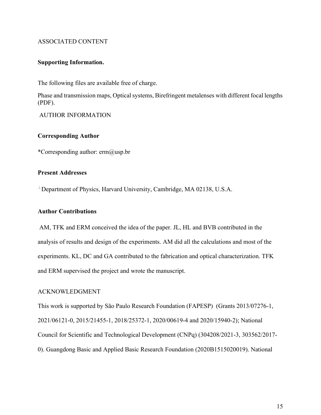# ASSOCIATED CONTENT

## Supporting Information.

The following files are available free of charge.

Phase and transmission maps, Optical systems, Birefringent metalenses with different focal lengths (PDF).

AUTHOR INFORMATION

## Corresponding Author

\*Corresponding author: erm@usp.br

# Present Addresses

<sup>⊥</sup>Department of Physics, Harvard University, Cambridge, MA 02138, U.S.A.

## Author Contributions

 AM, TFK and ERM conceived the idea of the paper. JL, HL and BVB contributed in the analysis of results and design of the experiments. AM did all the calculations and most of the experiments. KL, DC and GA contributed to the fabrication and optical characterization. TFK and ERM supervised the project and wrote the manuscript.

# ACKNOWLEDGMENT

This work is supported by São Paulo Research Foundation (FAPESP) (Grants 2013/07276-1, 2021/06121-0, 2015/21455-1, 2018/25372-1, 2020/00619-4 and 2020/15940-2); National Council for Scientific and Technological Development (CNPq) (304208/2021-3, 303562/2017- 0). Guangdong Basic and Applied Basic Research Foundation (2020B1515020019). National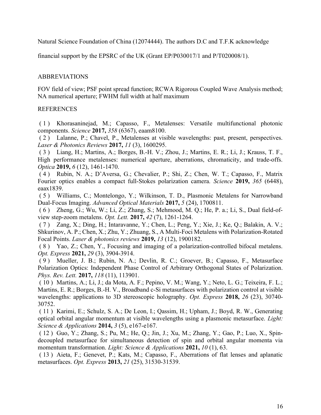Natural Science Foundation of China (12074444). The authors D.C and T.F.K acknowledge

financial support by the EPSRC of the UK (Grant EP/P030017/1 and P/T020008/1).

# ABBREVIATIONS

FOV field of view; PSF point spread function; RCWA Rigorous Coupled Wave Analysis method; NA numerical aperture; FWHM full width at half maximum

# REFERENCES

 ( 1 ) Khorasaninejad, M.; Capasso, F., Metalenses: Versatile multifunctional photonic components. Science 2017, 358 (6367), eaam8100.

 ( 2 ) Lalanne, P.; Chavel, P., Metalenses at visible wavelengths: past, present, perspectives. Laser & Photonics Reviews 2017, 11 (3), 1600295.

 ( 3 ) Liang, H.; Martins, A.; Borges, B.-H. V.; Zhou, J.; Martins, E. R.; Li, J.; Krauss, T. F., High performance metalenses: numerical aperture, aberrations, chromaticity, and trade-offs. Optica 2019, 6 (12), 1461-1470.

 ( 4 ) Rubin, N. A.; D'Aversa, G.; Chevalier, P.; Shi, Z.; Chen, W. T.; Capasso, F., Matrix Fourier optics enables a compact full-Stokes polarization camera. Science 2019, 365 (6448), eaax1839.

 ( 5 ) Williams, C.; Montelongo, Y.; Wilkinson, T. D., Plasmonic Metalens for Narrowband Dual-Focus Imaging. Advanced Optical Materials 2017, 5 (24), 1700811.

 ( 6 ) Zheng, G.; Wu, W.; Li, Z.; Zhang, S.; Mehmood, M. Q.; He, P. a.; Li, S., Dual field-ofview step-zoom metalens. Opt. Lett. 2017, 42 (7), 1261-1264.

 ( 7 ) Zang, X.; Ding, H.; Intaravanne, Y.; Chen, L.; Peng, Y.; Xie, J.; Ke, Q.; Balakin, A. V.; Shkurinov, A. P.; Chen, X.; Zhu, Y.; Zhuang, S., A Multi-Foci Metalens with Polarization-Rotated Focal Points. Laser & photonics reviews 2019, 13 (12), 1900182.

 ( 8 ) Yao, Z.; Chen, Y., Focusing and imaging of a polarization-controlled bifocal metalens. Opt. Express 2021, 29 (3), 3904-3914.

 ( 9 ) Mueller, J. B.; Rubin, N. A.; Devlin, R. C.; Groever, B.; Capasso, F., Metasurface Polarization Optics: Independent Phase Control of Arbitrary Orthogonal States of Polarization. Phys. Rev. Lett. 2017, 118 (11), 113901.

 ( 10 ) Martins, A.; Li, J.; da Mota, A. F.; Pepino, V. M.; Wang, Y.; Neto, L. G.; Teixeira, F. L.; Martins, E. R.; Borges, B.-H. V., Broadband c-Si metasurfaces with polarization control at visible wavelengths: applications to 3D stereoscopic holography. Opt. Express 2018, 26 (23), 30740- 30752.

 ( 11 ) Karimi, E.; Schulz, S. A.; De Leon, I.; Qassim, H.; Upham, J.; Boyd, R. W., Generating optical orbital angular momentum at visible wavelengths using a plasmonic metasurface. Light: Science & Applications 2014, 3 (5), e167-e167.

 ( 12 ) Guo, Y.; Zhang, S.; Pu, M.; He, Q.; Jin, J.; Xu, M.; Zhang, Y.; Gao, P.; Luo, X., Spindecoupled metasurface for simultaneous detection of spin and orbital angular momenta via momentum transformation. *Light: Science & Applications* 2021, 10 (1), 63.

 ( 13 ) Aieta, F.; Genevet, P.; Kats, M.; Capasso, F., Aberrations of flat lenses and aplanatic metasurfaces. Opt. Express 2013, 21 (25), 31530-31539.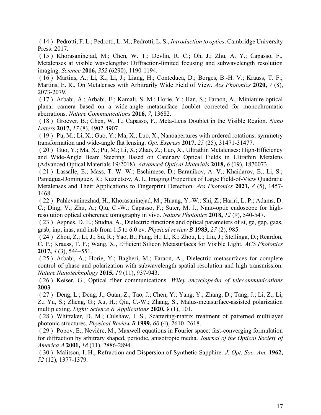( 14 ) Pedrotti, F. L.; Pedrotti, L. M.; Pedrotti, L. S., Introduction to optics. Cambridge University Press: 2017.

 ( 15 ) Khorasaninejad, M.; Chen, W. T.; Devlin, R. C.; Oh, J.; Zhu, A. Y.; Capasso, F., Metalenses at visible wavelengths: Diffraction-limited focusing and subwavelength resolution imaging. Science 2016, 352 (6290), 1190-1194.

 ( 16 ) Martins, A.; Li, K.; Li, J.; Liang, H.; Conteduca, D.; Borges, B.-H. V.; Krauss, T. F.; Martins, E. R., On Metalenses with Arbitrarily Wide Field of View. Acs Photonics 2020, 7 (8), 2073-2079.

 ( 17 ) Arbabi, A.; Arbabi, E.; Kamali, S. M.; Horie, Y.; Han, S.; Faraon, A., Miniature optical planar camera based on a wide-angle metasurface doublet corrected for monochromatic aberrations. Nature Communications 2016, 7, 13682.

 ( 18 ) Groever, B.; Chen, W. T.; Capasso, F., Meta-Lens Doublet in the Visible Region. Nano Letters 2017, 17 (8), 4902-4907.

 ( 19 ) Pu, M.; Li, X.; Guo, Y.; Ma, X.; Luo, X., Nanoapertures with ordered rotations: symmetry transformation and wide-angle flat lensing. Opt. Express 2017, 25 (25), 31471-31477.

 ( 20 ) Guo, Y.; Ma, X.; Pu, M.; Li, X.; Zhao, Z.; Luo, X., Ultrathin Metalenses: High-Efficiency and Wide-Angle Beam Steering Based on Catenary Optical Fields in Ultrathin Metalens (Advanced Optical Materials 19/2018). Advanced Optical Materials 2018, 6 (19), 1870073.

 ( 21 ) Lassalle, E.; Mass, T. W. W.; Eschimese, D.; Baranikov, A. V.; Khaidarov, E.; Li, S.; Paniagua-Dominguez, R.; Kuznetsov, A. I., Imaging Properties of Large Field-of-View Quadratic Metalenses and Their Applications to Fingerprint Detection. Acs Photonics 2021, 8 (5), 1457- 1468.

 ( 22 ) Pahlevaninezhad, H.; Khorasaninejad, M.; Huang, Y.-W.; Shi, Z.; Hariri, L. P.; Adams, D. C.; Ding, V.; Zhu, A.; Qiu, C.-W.; Capasso, F.; Suter, M. J., Nano-optic endoscope for highresolution optical coherence tomography in vivo. Nature Photonics 2018, 12 (9), 540-547.

 ( 23 ) Aspnes, D. E.; Studna, A., Dielectric functions and optical parameters of si, ge, gap, gaas, gasb, inp, inas, and insb from 1.5 to 6.0 ev. Physical review B 1983, 27 (2), 985.

 ( 24 ) Zhou, Z.; Li, J.; Su, R.; Yao, B.; Fang, H.; Li, K.; Zhou, L.; Liu, J.; Stellinga, D.; Reardon, C. P.; Krauss, T. F.; Wang, X., Efficient Silicon Metasurfaces for Visible Light. ACS Photonics 2017, 4 (3), 544–551.

 ( 25 ) Arbabi, A.; Horie, Y.; Bagheri, M.; Faraon, A., Dielectric metasurfaces for complete control of phase and polarization with subwavelength spatial resolution and high transmission. Nature Nanotechnology 2015, 10 (11), 937-943.

 ( 26 ) Keiser, G., Optical fiber communications. Wiley encyclopedia of telecommunications 2003.

 ( 27 ) Deng, L.; Deng, J.; Guan, Z.; Tao, J.; Chen, Y.; Yang, Y.; Zhang, D.; Tang, J.; Li, Z.; Li, Z.; Yu, S.; Zheng, G.; Xu, H.; Qiu, C.-W.; Zhang, S., Malus-metasurface-assisted polarization multiplexing. *Light: Science & Applications* 2020, 9(1), 101.

 ( 28 ) Whittaker, D. M.; Culshaw, I. S., Scattering-matrix treatment of patterned multilayer photonic structures. Physical Review B 1999, 60 (4), 2610–2618.

 ( 29 ) Popov, E.; Nevière, M., Maxwell equations in Fourier space: fast-converging formulation for diffraction by arbitrary shaped, periodic, anisotropic media. Journal of the Optical Society of America A 2001, 18 (11), 2886-2894.

 ( 30 ) Malitson, I. H., Refraction and Dispersion of Synthetic Sapphire. J. Opt. Soc. Am. 1962, 52 (12), 1377-1379.